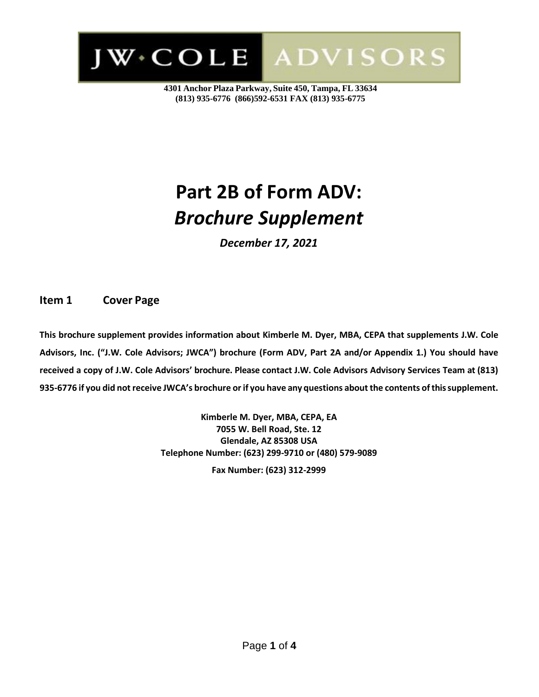

# **Part 2B of Form ADV:** *Brochure Supplement*

*December 17, 2021*

**Item 1 Cover Page**

**This brochure supplement provides information about Kimberle M. Dyer, MBA, CEPA that supplements J.W. Cole Advisors, Inc. ("J.W. Cole Advisors; JWCA") brochure (Form ADV, Part 2A and/or Appendix 1.) You should have received a copy of J.W. Cole Advisors' brochure. Please contact J.W. Cole Advisors Advisory Services Team at (813) 935-6776 if you did not receive JWCA's brochure or if you have any questions about the contents of this supplement.**

> **Kimberle M. Dyer, MBA, CEPA, EA 7055 W. Bell Road, Ste. 12 Glendale, AZ 85308 USA Telephone Number: (623) 299-9710 or (480) 579-9089**

**Fax Number: (623) 312-2999**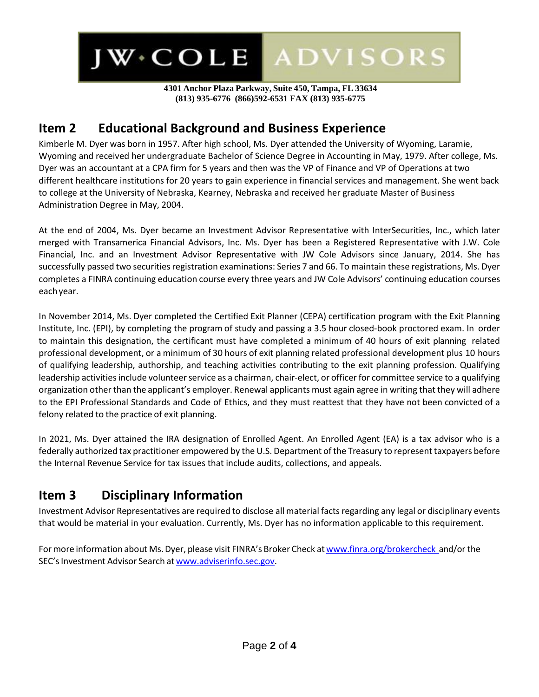

#### **Item 2 Educational Background and Business Experience**

Kimberle M. Dyer was born in 1957. After high school, Ms. Dyer attended the University of Wyoming, Laramie, Wyoming and received her undergraduate Bachelor of Science Degree in Accounting in May, 1979. After college, Ms. Dyer was an accountant at a CPA firm for 5 years and then was the VP of Finance and VP of Operations at two different healthcare institutions for 20 years to gain experience in financial services and management. She went back to college at the University of Nebraska, Kearney, Nebraska and received her graduate Master of Business Administration Degree in May, 2004.

At the end of 2004, Ms. Dyer became an Investment Advisor Representative with InterSecurities, Inc., which later merged with Transamerica Financial Advisors, Inc. Ms. Dyer has been a Registered Representative with J.W. Cole Financial, Inc. and an Investment Advisor Representative with JW Cole Advisors since January, 2014. She has successfully passed two securities registration examinations: Series 7 and 66. To maintain these registrations, Ms. Dyer completes a FINRA continuing education course every three years and JW Cole Advisors' continuing education courses eachyear.

In November 2014, Ms. Dyer completed the Certified Exit Planner (CEPA) certification program with the Exit Planning Institute, Inc. (EPI), by completing the program of study and passing a 3.5 hour closed-book proctored exam. In order to maintain this designation, the certificant must have completed a minimum of 40 hours of exit planning related professional development, or a minimum of 30 hours of exit planning related professional development plus 10 hours of qualifying leadership, authorship, and teaching activities contributing to the exit planning profession. Qualifying leadership activities include volunteer service as a chairman, chair-elect, or officer for committee service to a qualifying organization other than the applicant's employer. Renewal applicants must again agree in writing that they will adhere to the EPI Professional Standards and Code of Ethics, and they must reattest that they have not been convicted of a felony related to the practice of exit planning.

In 2021, Ms. Dyer attained the IRA designation of Enrolled Agent. An Enrolled Agent (EA) is a tax advisor who is a federally authorized tax practitioner empowered by the U.S. Department of the Treasury to represent taxpayers before the Internal Revenue Service for tax issues that include audits, collections, and appeals.

# **Item 3 Disciplinary Information**

Investment Advisor Representatives are required to disclose all material facts regarding any legal or disciplinary events that would be material in your evaluation. Currently, Ms. Dyer has no information applicable to this requirement.

For more inform[at](http://www.finra.org/brokercheck)ion about Ms. Dyer, please visit FINRA's Broker Check at [www.finra.org/brokercheck](http://www.finra.org/brokercheck) and/or the SEC's Investment Advisor Search [at](http://www.adviserinfo.sec.gov/) [www.adviserinfo.sec.gov.](http://www.adviserinfo.sec.gov/)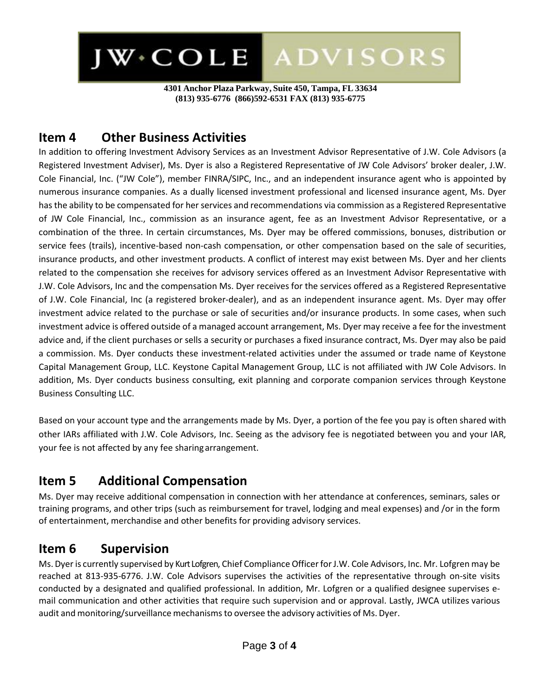

## **Item 4 Other Business Activities**

In addition to offering Investment Advisory Services as an Investment Advisor Representative of J.W. Cole Advisors (a Registered Investment Adviser), Ms. Dyer is also a Registered Representative of JW Cole Advisors' broker dealer, J.W. Cole Financial, Inc. ("JW Cole"), member FINRA/SIPC, Inc., and an independent insurance agent who is appointed by numerous insurance companies. As a dually licensed investment professional and licensed insurance agent, Ms. Dyer has the ability to be compensated for her services and recommendations via commission as a Registered Representative of JW Cole Financial, Inc., commission as an insurance agent, fee as an Investment Advisor Representative, or a combination of the three. In certain circumstances, Ms. Dyer may be offered commissions, bonuses, distribution or service fees (trails), incentive-based non-cash compensation, or other compensation based on the sale of securities, insurance products, and other investment products. A conflict of interest may exist between Ms. Dyer and her clients related to the compensation she receives for advisory services offered as an Investment Advisor Representative with J.W. Cole Advisors, Inc and the compensation Ms. Dyer receives for the services offered as a Registered Representative of J.W. Cole Financial, Inc (a registered broker-dealer), and as an independent insurance agent. Ms. Dyer may offer investment advice related to the purchase or sale of securities and/or insurance products. In some cases, when such investment advice is offered outside of a managed account arrangement, Ms. Dyer may receive a fee for the investment advice and, if the client purchases or sells a security or purchases a fixed insurance contract, Ms. Dyer may also be paid a commission. Ms. Dyer conducts these investment-related activities under the assumed or trade name of Keystone Capital Management Group, LLC. Keystone Capital Management Group, LLC is not affiliated with JW Cole Advisors. In addition, Ms. Dyer conducts business consulting, exit planning and corporate companion services through Keystone Business Consulting LLC.

Based on your account type and the arrangements made by Ms. Dyer, a portion of the fee you pay is often shared with other IARs affiliated with J.W. Cole Advisors, Inc. Seeing as the advisory fee is negotiated between you and your IAR, your fee is not affected by any fee sharingarrangement.

### **Item 5 Additional Compensation**

Ms. Dyer may receive additional compensation in connection with her attendance at conferences, seminars, sales or training programs, and other trips (such as reimbursement for travel, lodging and meal expenses) and /or in the form of entertainment, merchandise and other benefits for providing advisory services.

### **Item 6 Supervision**

Ms. Dyer is currently supervised by Kurt Lofgren, Chief Compliance Officer for J.W. Cole Advisors, Inc. Mr. Lofgren may be reached at 813-935-6776. J.W. Cole Advisors supervises the activities of the representative through on-site visits conducted by a designated and qualified professional. In addition, Mr. Lofgren or a qualified designee supervises email communication and other activities that require such supervision and or approval. Lastly, JWCA utilizes various audit and monitoring/surveillance mechanismsto oversee the advisory activities of Ms. Dyer.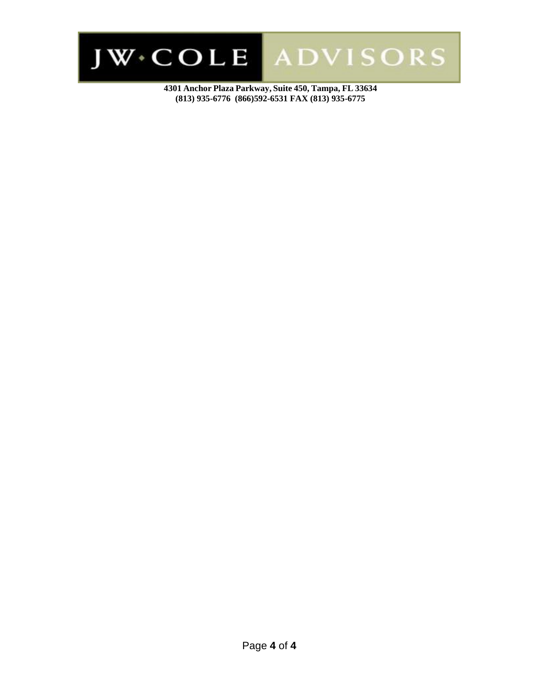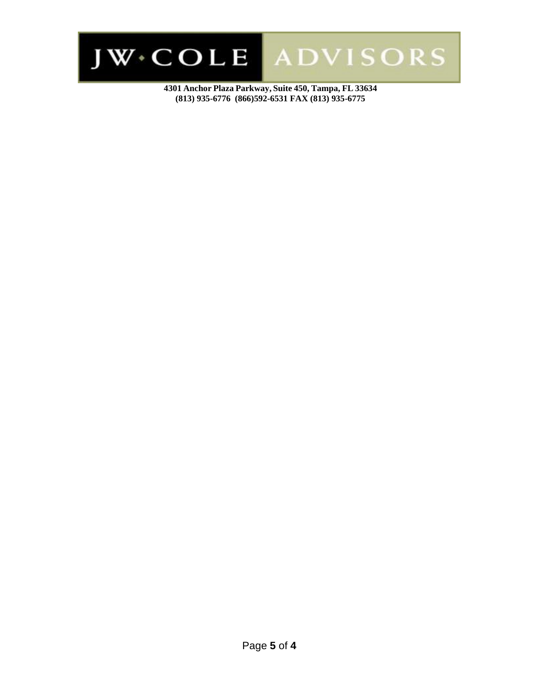